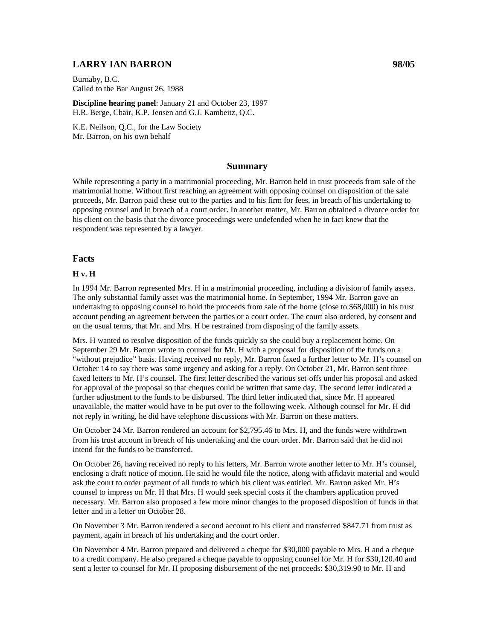## **LARRY IAN BARRON 98/05**

Burnaby, B.C. Called to the Bar August 26, 1988

**Discipline hearing panel**: January 21 and October 23, 1997 H.R. Berge, Chair, K.P. Jensen and G.J. Kambeitz, Q.C.

K.E. Neilson, Q.C., for the Law Society Mr. Barron, on his own behalf

### **Summary**

While representing a party in a matrimonial proceeding, Mr. Barron held in trust proceeds from sale of the matrimonial home. Without first reaching an agreement with opposing counsel on disposition of the sale proceeds, Mr. Barron paid these out to the parties and to his firm for fees, in breach of his undertaking to opposing counsel and in breach of a court order. In another matter, Mr. Barron obtained a divorce order for his client on the basis that the divorce proceedings were undefended when he in fact knew that the respondent was represented by a lawyer.

## **Facts**

#### **H v. H**

In 1994 Mr. Barron represented Mrs. H in a matrimonial proceeding, including a division of family assets. The only substantial family asset was the matrimonial home. In September, 1994 Mr. Barron gave an undertaking to opposing counsel to hold the proceeds from sale of the home (close to \$68,000) in his trust account pending an agreement between the parties or a court order. The court also ordered, by consent and on the usual terms, that Mr. and Mrs. H be restrained from disposing of the family assets.

Mrs. H wanted to resolve disposition of the funds quickly so she could buy a replacement home. On September 29 Mr. Barron wrote to counsel for Mr. H with a proposal for disposition of the funds on a "without prejudice" basis. Having received no reply, Mr. Barron faxed a further letter to Mr. H's counsel on October 14 to say there was some urgency and asking for a reply. On October 21, Mr. Barron sent three faxed letters to Mr. H's counsel. The first letter described the various set-offs under his proposal and asked for approval of the proposal so that cheques could be written that same day. The second letter indicated a further adjustment to the funds to be disbursed. The third letter indicated that, since Mr. H appeared unavailable, the matter would have to be put over to the following week. Although counsel for Mr. H did not reply in writing, he did have telephone discussions with Mr. Barron on these matters.

On October 24 Mr. Barron rendered an account for \$2,795.46 to Mrs. H, and the funds were withdrawn from his trust account in breach of his undertaking and the court order. Mr. Barron said that he did not intend for the funds to be transferred.

On October 26, having received no reply to his letters, Mr. Barron wrote another letter to Mr. H's counsel, enclosing a draft notice of motion. He said he would file the notice, along with affidavit material and would ask the court to order payment of all funds to which his client was entitled. Mr. Barron asked Mr. H's counsel to impress on Mr. H that Mrs. H would seek special costs if the chambers application proved necessary. Mr. Barron also proposed a few more minor changes to the proposed disposition of funds in that letter and in a letter on October 28.

On November 3 Mr. Barron rendered a second account to his client and transferred \$847.71 from trust as payment, again in breach of his undertaking and the court order.

On November 4 Mr. Barron prepared and delivered a cheque for \$30,000 payable to Mrs. H and a cheque to a credit company. He also prepared a cheque payable to opposing counsel for Mr. H for \$30,120.40 and sent a letter to counsel for Mr. H proposing disbursement of the net proceeds: \$30,319.90 to Mr. H and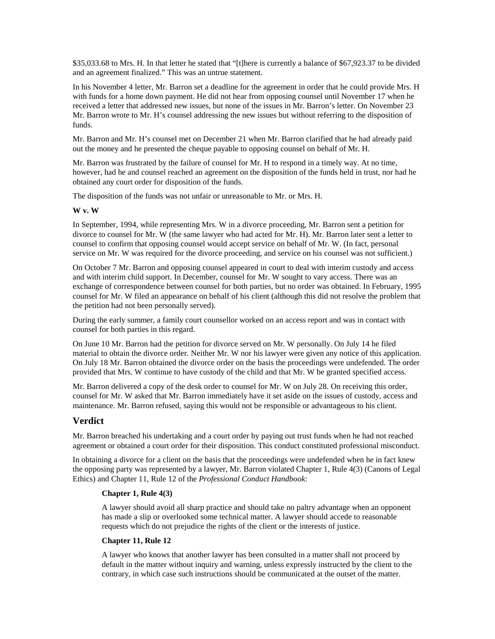\$35,033.68 to Mrs. H. In that letter he stated that "[t]here is currently a balance of \$67,923.37 to be divided and an agreement finalized." This was an untrue statement.

In his November 4 letter, Mr. Barron set a deadline for the agreement in order that he could provide Mrs. H with funds for a home down payment. He did not hear from opposing counsel until November 17 when he received a letter that addressed new issues, but none of the issues in Mr. Barron's letter. On November 23 Mr. Barron wrote to Mr. H's counsel addressing the new issues but without referring to the disposition of funds.

Mr. Barron and Mr. H's counsel met on December 21 when Mr. Barron clarified that he had already paid out the money and he presented the cheque payable to opposing counsel on behalf of Mr. H.

Mr. Barron was frustrated by the failure of counsel for Mr. H to respond in a timely way. At no time, however, had he and counsel reached an agreement on the disposition of the funds held in trust, nor had he obtained any court order for disposition of the funds.

The disposition of the funds was not unfair or unreasonable to Mr. or Mrs. H.

#### **W v. W**

In September, 1994, while representing Mrs. W in a divorce proceeding, Mr. Barron sent a petition for divorce to counsel for Mr. W (the same lawyer who had acted for Mr. H). Mr. Barron later sent a letter to counsel to confirm that opposing counsel would accept service on behalf of Mr. W. (In fact, personal service on Mr. W was required for the divorce proceeding, and service on his counsel was not sufficient.)

On October 7 Mr. Barron and opposing counsel appeared in court to deal with interim custody and access and with interim child support. In December, counsel for Mr. W sought to vary access. There was an exchange of correspondence between counsel for both parties, but no order was obtained. In February, 1995 counsel for Mr. W filed an appearance on behalf of his client (although this did not resolve the problem that the petition had not been personally served).

During the early summer, a family court counsellor worked on an access report and was in contact with counsel for both parties in this regard.

On June 10 Mr. Barron had the petition for divorce served on Mr. W personally. On July 14 he filed material to obtain the divorce order. Neither Mr. W nor his lawyer were given any notice of this application. On July 18 Mr. Barron obtained the divorce order on the basis the proceedings were undefended. The order provided that Mrs. W continue to have custody of the child and that Mr. W be granted specified access.

Mr. Barron delivered a copy of the desk order to counsel for Mr. W on July 28. On receiving this order, counsel for Mr. W asked that Mr. Barron immediately have it set aside on the issues of custody, access and maintenance. Mr. Barron refused, saying this would not be responsible or advantageous to his client.

### **Verdict**

Mr. Barron breached his undertaking and a court order by paying out trust funds when he had not reached agreement or obtained a court order for their disposition. This conduct constituted professional misconduct.

In obtaining a divorce for a client on the basis that the proceedings were undefended when he in fact knew the opposing party was represented by a lawyer, Mr. Barron violated Chapter 1, Rule 4(3) (Canons of Legal Ethics) and Chapter 11, Rule 12 of the *Professional Conduct Handbook*:

#### **Chapter 1, Rule 4(3)**

A lawyer should avoid all sharp practice and should take no paltry advantage when an opponent has made a slip or overlooked some technical matter. A lawyer should accede to reasonable requests which do not prejudice the rights of the client or the interests of justice.

#### **Chapter 11, Rule 12**

A lawyer who knows that another lawyer has been consulted in a matter shall not proceed by default in the matter without inquiry and warning, unless expressly instructed by the client to the contrary, in which case such instructions should be communicated at the outset of the matter.